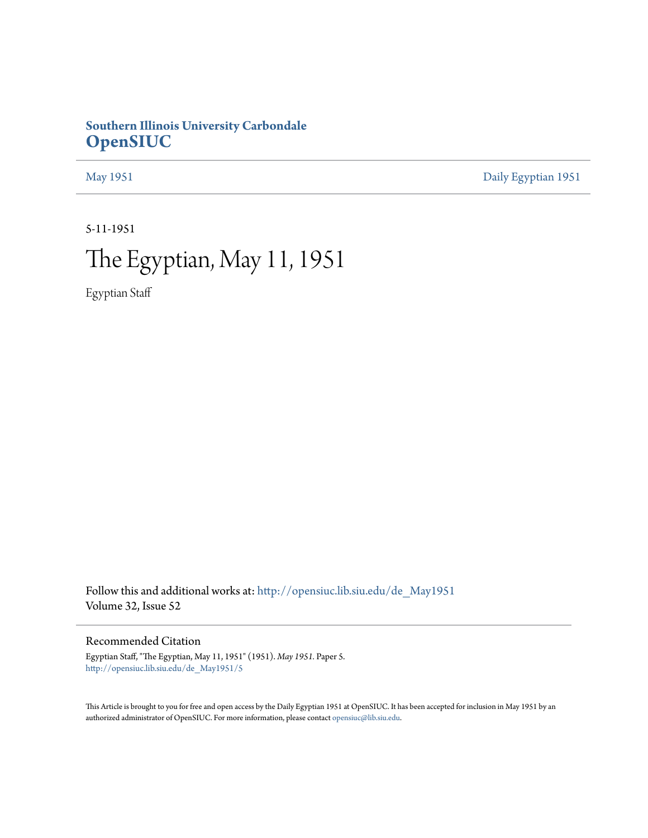## **Southern Illinois University Carbondale [OpenSIUC](http://opensiuc.lib.siu.edu?utm_source=opensiuc.lib.siu.edu%2Fde_May1951%2F5&utm_medium=PDF&utm_campaign=PDFCoverPages)**

[May 1951](http://opensiuc.lib.siu.edu/de_May1951?utm_source=opensiuc.lib.siu.edu%2Fde_May1951%2F5&utm_medium=PDF&utm_campaign=PDFCoverPages) [Daily Egyptian 1951](http://opensiuc.lib.siu.edu/de_1951?utm_source=opensiuc.lib.siu.edu%2Fde_May1951%2F5&utm_medium=PDF&utm_campaign=PDFCoverPages)

5-11-1951

# The Egyptian, May 11, 1951

Egyptian Staff

Follow this and additional works at: [http://opensiuc.lib.siu.edu/de\\_May1951](http://opensiuc.lib.siu.edu/de_May1951?utm_source=opensiuc.lib.siu.edu%2Fde_May1951%2F5&utm_medium=PDF&utm_campaign=PDFCoverPages) Volume 32, Issue 52

Recommended Citation

Egyptian Staff, "The Egyptian, May 11, 1951" (1951). *May 1951.* Paper 5. [http://opensiuc.lib.siu.edu/de\\_May1951/5](http://opensiuc.lib.siu.edu/de_May1951/5?utm_source=opensiuc.lib.siu.edu%2Fde_May1951%2F5&utm_medium=PDF&utm_campaign=PDFCoverPages)

This Article is brought to you for free and open access by the Daily Egyptian 1951 at OpenSIUC. It has been accepted for inclusion in May 1951 by an authorized administrator of OpenSIUC. For more information, please contact [opensiuc@lib.siu.edu](mailto:opensiuc@lib.siu.edu).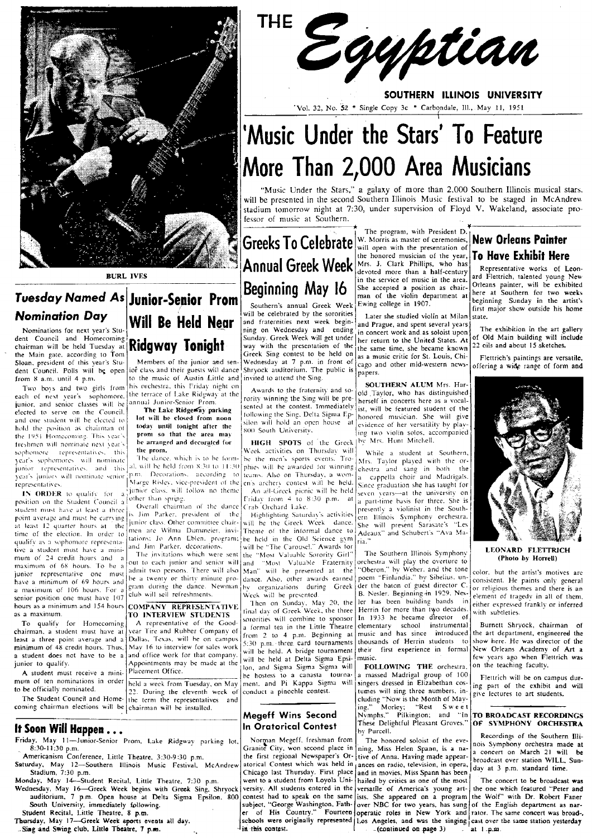

junior, and senior classes will be<br>elected to serve on the Council. hold the position as chairman of **today until tonight after the** solo South University.<br>The 1951 Homeomoning. This year's **promise that the area may SOO South University.** The IMO ROW of the argument of the area of the G I I IGH SPOTS of the Greek I by Mrs. Hunt Mitchell.<br>Sophomore representatives, this the prom. Week activities on Thursday will while a student at Southern,

position on the Student Council a lother than spring.<br>student punt have at loot a three. Overall chairman of the dance Crab Orchard Lake. student must have at least a three  $\int$ is. Jim Parker, president of the Highlighting Saturday's activities point average and must be earrying  $\int$  ... In late or line of the Greek Week dance. at least  $12^{\circ}$  quarter hours at the junior class. Other committee chair- will be the Greek Week dance.  $\frac{1}{\text{She}}$  will present Sarasate's "Les time of the election. In order to men are Wilma Dummeier, invi-<br>Theme of the election. In order to Imen are Wilma Dummeier, invi-Theme of the informal dance to Adeaux" and Schubert's "Ava Ma-<br>qualify as a sophemore represe time of the election. In order to tations: Jo Ann Eblen. program; he held in the Old Science gym ria.<br>quality as a sophomore representa-<br>tion a student must have a minitive a student must have a mini- and Jim Parker, decorations.<br>mum of 24 credit hours and a The invitations which were sent the "Most Valuable Sorority Girl" The Southern Illinois Symphony **LEONARD FLETTRICH** mum of 24 credit hours and a <sup>The in</sup>yitations which were sent the "Most Valuable Sociolity Office ... The Southern life ... The Southern life ... The Southern life and senior will and "Most Valuable Fraternity

least a three point average and a Dallas. Texas, will be on campus  $\frac{17600 - 2}{500}$  p.m. three card tournaments thousaneus though the card tournament the minimum of 48 credit hours. Thus,  $\frac{1}{2}$  May 16 to interview f a student does not have to be a and office work for that company. will be held. A bridge tournament intellect<br>junior to qualify.<br> $\frac{1}{2}$  intellectual Sigma Sigma Epsi- music.

## chairman will be held Tuesday at **Ridgway Tonight** Sunday. Greek Week will get under the presentation of the same time, she became known 22 oils and about 15 sketches.<br>
the Main gate, according to Tom the Main gate. according to Tom Greek Sing contest to be held on as a music critic form and sen-<br>Sloan, president of this year's Stu-<br>Sloan, president of this year's Stu-<br>Members of the junior and sen-<br>Wednesday at 7 p.m. Sloan, president of this year's Stu-<br>dent Council. Polls will be open life that sand their guests will dance Shryock auditorium. The public is papers.<br>from 8 a.m. until 4 p.m.

fo the music of Austin Little and invited to attend the Sing.<br>his orchestra, this Friday night on

- If Soon Will Happen ...<br>Friday, May 11—Junior-Senior Prom, Lake Ridgway parking lot. Norman Megeff, freshman from The honored soloist of the eve-<br>8:30-11:30 p.m. event of the Southern Illi-<br>8:30-11:30 p.m. iday. May 11—Junior-Senior Prom. Lake Ridgway parking lot. Sorman Megeff, freshman from The honored soloist of the eve-<br>8:30-11:30 p.m. Buttle Theatre, 3:30-9:30 p.m. the first regional Newspaper's Or- tive of Anna. Having
- Americanism Conference, Little Theatre. 3:30-9:30 p.m. the first regional Newspaper's Or- tive of Anna. Having made appear- a concert on March 21 will be first regional Newspaper's Or- tive of Anna. Having made appear- a The Saturday, May 12-Southern Illinois Music Festival. McAndrew atorical Contest which was held in ances on radio, television, in opera, durated to real atom of the Stadium, 7:30 p.m. standard time.
- Monday. May 14—Student Recital. Little Theatre. 7:30 p.m. went to a student from Loyola Uni- hailed by critics as one of the most The concert to be broadcast was<br>Wednesday, May 16—Greek Week begins with Greek Sing, Shryock
- Wednesday, May 16—Greek Week begins with Greek Sing, Shryock versity. All students entered in the versatile of America's young art- the one which featured "Peter and<br>auditorium, 7 p.m. Open house at Delta Sigma Epsilon, 80 South University, immediately following.<br>Student Recital, Little Theatre, 8 p.m.<br>Thursday, May 17—Greek Week sports events all day.<br>Thursday, May 17—Greek Week sports events all day.<br>Schools were originally represented Los





SOUTHERN ILLINOIS UNIVERSITY 'Vol. 32, No. 32 \* Single Copy 3c \* Carbondale, Ill., May 11, 1951

# 'Music Under the Stars' To Feature More Than 2,000 Area Musicians

"Music Under the Stars," a galaxy of more than 2,000 Southern Illinois musical stars. will be presented in the second Southern Illinois Music festival to be staged in McAndrew stadium tomorrow night at 7:30, under supervision of Floyd V. Wakeland, associate pro· fessor of music at Southern.

**Tuesday Named As**<br> **Nomination Day**<br>
Nominations for next year's Stu-<br> **Nomination Day**<br>
Nominations for next year's Stu-<br> **Nomination Day**<br> **Nomination Day**<br>
Nominations for next year's Stu-<br> **Nomination Day**<br> **Nominati** 

sophomore representatives, this the prom.<br>year's sophomores will nominate the dance, which is to be form- be the men's sports events. Tro- Mrs. Tavior played with the orpresentatives. [Marge Risley, vice-president of the en's archery contest will be held.<br> **IN ORDER** to qualify for  $a_1^{3}$ unior class, will follow no theme [An all-Greek pients will be held.

To The Homecoming A representative of the Good-Sorrorities will combine to sponsor<br>To quality for Homecoming A representative of the Good- a formal tea in the Little Theatre<br>chairman, a student must have at year Tire and nior to qualify.<br>A student must receive a mini- Placement Office.<br>A student must receive a mini- Placement Office.<br>A student must receive a mini- Placement Office. A student must receive a mini-<br>
mum of ten nominations in order held a week from Tuesday, on May ment, and Pi Kappa Sigma will singers dressed in Elizabethan cos-<br>
to be officially nominated. ... 22. During the eleventh we mum of ten nominations in order held a week from Tuesday, on May ment, and Pi Kappa Sigma will singers dressed in Elizabethan cos-<br>to be officially nominated.  $\begin{bmatrix} 22 \\ 22 \end{bmatrix}$  During the eleventh week of conduct a pi

Greeks To Celebrate w. Morris as master of ceremonies. New Orleans Painter the honored musician of the year. **To Have Exhibit Here** Mrs. J. Clark Phillips, who has Annual Greek Week Mess, J. Clark Phillips, who has representative works of Leon-BURL IVES<br> **BURL IVES**<br> **BURL IVES**<br>
BURL IVES<br>
BURL IVES<br>
BURL IVES<br>
BURL IVES<br>
BURL IVES<br>
BURL IVES<br>
SAREA. AREA. Orleans painter, will be exhibited<br>
She accepted a position as chair- Orleans painter, will be exhibited<br>

and two spins of the second in the second in the second of the second in the second of the second to the second the terrace of Lake Ridgway at the second of next year's sophomore, the terrace of Lake Ridgway at the second effected to serve on the countries.<br>
and one student will be closed from noon to following the Sing, Delta Sigma Ep-<br>
honored musician. She will give<br>
hold the position as chairman of **today until tonight after the** sigma iden will hold an open house  $\begin{array}{c|c} \text{at} \\ \text{c} \\ \text{in} \text{g} \\ \text{two} \text{ violin} \text{ solos, accompanied} \end{array}$ 

junior representatives, and this all will be held from 8:30 to 11:30 phies will be awarded for winning chestra and sang in both the origin representatives, and this all will be held from 8:30 to 11:30 phies will be awarded year's juniors will nominate senior p.m. Decorations. according to 10 teams. Also on Thursday, a wom-<br>representatives. The number Risley, vice-president of the en's archery contest will be held. Since graduation she has ta 1) the test is a state of the state of the state of the state of the state of the university on a state of the university on  $\frac{1}{4}$  of the university on  $\frac{1}{4}$ . student must have at least a three Cyerall chairman of the dance Crab Orchard Lake.<br>point average and must be carrying in Jim, Parker, president of the Highlighting Saturday's activities ern. Illinois Symphony orchestra.

out to each junior and senior will and "Most" Valuable Fraternity orchestra will play the overture to admit two persons. There will also Man" will be presented at the "Oberon," by Weber, and the tone junior representative one must admit two persons. There will also Man" will be presented at the "Oberon," by Weber. and the tone color, but the artist's motives are<br>have a minimum of 69 hours and be a twenty or thirty minu have a minimum of 69 hours and be a twenty or thirty minute pro- dance. Also, other awards earned poem "Finlandia." by Sibelius. un-<br>I have a minimum of 106 hours For a gram during the dance. Newman by organizations during a maximum of 106 hours. For a gram during the dance. Newman hy organizations during Greek der the baton of guest director C. for religious themes and there is an enjor provided the baton of guest director C. for religious senior position one must have 107 club will sell refreshments.<br>
Senior position one must have 107 club will sell refreshments.<br>
In the presented and the presented B. Nesler. Beginning-in 1929, Nes-velocities in either expr hours as a minimum and 154 hours<br>as a maximum.<br>To qualify for Homecoming A representative of the Good-<br>To qualify for Homecoming A representative of the Good-<br>A representative of the Good-<br>Commuting a commuting a represent school instrumental a formula in the Little Theatre elementary school instrumental<br>from 2 to 4 p.m. Beginning at music and has since introduced<br>5:30 p.m. three card tournaments thousands of Herrin students to will be held. A bridge tournament their first experience in formal

to be officially nominated.<br>
The Student Council and Home-<br>
the term the representatives and<br>
coming chairman elections will be chairman will be installed.<br>
Fig. "Morley; "Rest Sweet" Now is the Month of May-<br>
ing." Morley Megeff Wins Second Nymphs." Morley; "Rest Sweet The BROADCAST RECORDINGS<br>In Orntorical Contest These Delightful Pleasant Groves." OF SYMPHONY ORCHESTRA

Chicago last Thursday. First place and in movies, Miss Spann has been<br>went to a student from Loyola Uni- hailed by critics as one of the most

Tuesday Named As Junior-Senior Prom Southern's annual Greek Week Ewing college in 1907.<br>
Nomination Day Will Be Held Near and fraternities next week begin-<br>
and Prague, and Spent Several years and Senior Senior Show outsid



Burnett Shryock, chairman of the art department, engineered the<br>show here. He was director of the New Orleans Academv of Art a few years ago when Flettrich was on the teaching faculty.

FJettrich will be on campus during part of the exhibit and will give lectures to art students.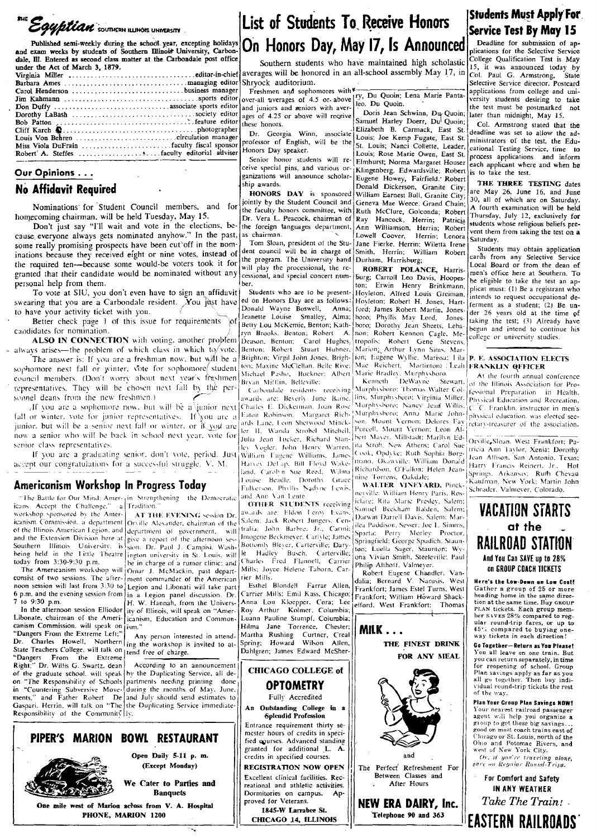THE EQUETION SOUTHERN ILLINOIS UNIVERSITY

Published semi-weekly during the school year, excepting holidays and exam weeks by students of Southern Illinois University, Carbondale, Ill. Entered as second class matter at the Carbondale post office under the Act of March 3, 1879.

## Our Opinions . . .

### **No Affidavit Required**

Nominations for Student Council members, and for homecoming chairman, will be held Tuesday, May 15.

Don't just say "I'll wait and vote in the elections, be- the foreign tanguages department,<br>cause everyone always gets nominated anyhow." In the past, as chairman. some really promising prospects have been cut off in the nominations because they received eight or nine votes, instead of dent council will be in charge of the program. The University band the required ten-because some would-be voters took it for will play the processional, the regranted that their candidate would be nominated without any cessional, and special concert numpersonal help from them.

To vote at SIU, you don't even have to sign an affidavit ed on Honors Day are as follows swearing that you are a Carbondale resident. You just have to have your activity ticket with you. Jeanette Louise Smalley, Alma;

Better check page 1 of this issue for requirements candidates for nomination.

ALSO IN CONNECTION with voting, another problem always arises-the problem of which class in which to/vote. Benton: Robert Stuart Hubner

The answer is: If you are a freshman now, but will be a sophomore next fall or winter, vote for sophomore student council members. (Don't worry about next year's freshmen representatives. They will be chosen next fall by the personnel deans from the new freshmen.)

awards are: Beverly June Baine. If you are a sophomore now, but will be a junior next Charles E. Dickerman, Joan Rose fall or winter, vote for junior representatives. If you are a Eaton Robinson. Margaret Richards Lane, Leon Sherwood Minck junior, but will be a senior next fall or winter, or if you are ler II. Wanda Strobel Mitchell. now a senior who will be back in school next year, vote for Julia Jean Tucker, Richard Stan senior class representatives. lev Vogler, John Henry Warren, William Fugene Williams, Jame

If you are a graduating senior, don't vote, period. Just accept our congratulations for a successful struggle. V. M.

## Americanism Workshop In Progress Today

icans Accept the Challenge." workshop sponsored by the Amertoday from 3:30-9:30 p.m.

7 to 9:30 p.m.

In the afternoon session Elliodor Libonate, chairman of the Americanism Commission, will speak on Dr. State Teachers College, will talk on the free of charge. "Dangers From the Extreme<br>Right:" Dr. Willis G. Swartz, dean of the graduate school, will speak by the Duplicating Service, all deon. in "Countering Subversive Move- during the months of May, June,<br>ments," and Father Robert De and July should send estimates to<br>Gaspari, Herrin, will talk on "The the Duplicating Service immediate-Responsibility of the Community ly.

"The Battle for Our Mind: Amer-1in Strengthening the Democratic a Tradition AT THE EVENING session Dr. Salem; Jack Robert Jungers, Cen-

icanism Commission, a department Orville Alexander, chairman of the Extra Community of the Illinois American Legion, and department of government, will and the Extension Division here at give a report of the afternoon ses-<br>Southern Illinois University, is son, Dr. Paul J. Campisi, Washbeing held in the Little Theatre ington university in St. Louis, will le be in charge of a rumor clinic; and The Americanism workshop will Omar J. McMackin, past departconsist of two sessions. The after- ment commander of the American noon session will last from 3:30 to Legion and Libonati will take part 6 p.m. and the evening session from  $\ln a$  Legion panel discussion. Dr. H. W. Hannah, from the University of Illinois, will speak on "Americanism, Education and Communism.

Any person interested in attend-Charles Howell, Northern ing the workshop is invited to at-

According to an announcement "The Responsibility of Schools partments needing printing done

## List of Students To Receive Honors On Honors Day, May 17, Is Announced

Southern students who have maintained high scholastic averages will be honored in an all-school assembly May 17, in Shryock auditorium.

these honors.

ship awards.

ber.

Honors Day speaker.

Dr. Georgia Winn, associate

professor of English, will be the

ceive special pins, and various or-

ganizations will announce scholar-

jointly by the Student Council and

Dr. Vera L. Peacock, chairman of

Tom Sloan, president of the Stu-

Students who are to be present-

Betty Lou McKemie, Benton; Kath-

ryn Brooks, Benton; Robert A.

Deason, Benton; Carol Hughes

Brighton; Virgil John Jones, Brigh

ton; Maxine McClellan, Belle Rive:

Michael Pasho, Buckner: Albert

Carbondale residents receiving

Harvey Del ap. Bill Floyd Wake-

land, Carolyn Sue Reed, Wilma

Louise Beadle, Dorothy Grace

Fulkerson, Phyllis Nadyne Lewis

OTHER STUDENTS receiving

iwards are: Eldon Leroy Evans

tralia: John Barbre, Jr., Carmi:

Imogene Beckmever, Carlvle; James

Bottomly Blever, Carterville, Dary

harles Fred Flannell, Carrier

Esthel Blondell Farrar Allen

Carrier Mills, Emil Kass, Chicago;

Anna Lou Kloepper, Cora; Lee

Mills; Joyce Helene Taborn, Car-

Busch. Carterville;

ind Ann Van Lente

Hadley

Martha Rushing

rier Mills.

Bryan Mifflin, Belleville;

Anna:

Donald Wayne Boswell,

Freshmen and sophomores with¥ Freshmen and sophomores with Fry, Du Quoin; Lena Marie Panta-<br>over-all averages of 4.5 or above les. Du Quoin. and juniors and seniors with averages of 4.25 or above will receive

Doris Jean Schwinn, Du Quoin; Samuel Harley Doerr, Du Quoin; Elizabeth B. Carmack, East St. Louis; Joe Kemp Fugate, East St. St. Louis; Nanci Collette, Leader, Louis; Rose Marie Owen, East St. Senior honor students will re- Elmhurst; Norma Margaret Houser Klingenberg, Edwardsville; Robert is to take the test. ip awards.<br> **HONORS DAY** is sponsored William Earnest Bull, Granite City;<br> **HONORS DAY** is sponsored William Earnest Bull, Granite City; Geneva Mae Weece, Grand Chain: the faculty honors committee, with Ruth McClure, Golconda; Robert Ray Hancock, Herrin; Patricia Ann Williamson, Herrin; Robert Lowell Coover, Herrin; Lenora Jane Fierke, Herrin; Wiletta Irene Smith, Herrin; William Robert Durham, Harrisburg;

ROBERT POLANCE, Harrisburg; Carroll Leo Davis, Hoopes-Erwin Henry Brinkmann, ton; Hoyleton; Alfred Louis Greiman, Hoyleton; Robert H. Jones, Hartford; James Robert Martin, Jonesboro; Phyllis May Lord, Jonesboro; Dorothy Jean Sheets, Lebanon; Robert Kennon Cagle, Metropolis; Robert Gene  $\mathbb{S}$ tevens Marion: Arthur Lynn Sims, Mar ion; Eugène Wyllie, Marissa; Lila Mae Reichert. Martinton: Leah<br>Marie Bradley, Murphysboro.<br>Kenneth DeWayne Stewart.

Murphysboro: Thomas Walter Collins, Murphysboro; Virginia Miller, Murphysboro; Nancy Jean Willis. Murphysboro: Anna Marie John-Mount Vernon; Delores Fav son. Purcell, Mount Vernon; Leon Al bert Mayer, Millstadt; Marilyn Edna Stroh, New Athens; Carol Sue Cook, Opdyke: Ruth Sophia Borgmann, Okawville: William Donald Richardson, O'Fallon; Helen Jeannine Torrens, Oakdale;<br>WALTER VINEYARD, Pinck-

nevville: William Henry Paris, Rosiclare; Rita Marie Presley, Salem: Samuel Beckham Balden, Salem; Darwin Darrell Davis, Salem: Marilea Paddison, Sesser; Joe L. Simms, Sparta; Perry Morley Proctor, Springfield: George Spudich. Staunton; Luella Sager, Staunton; Wyona Vivian Smith, Steeleville: Paul Philip Althoff, Valmeyer,

Robert Eugene Chandler, Vandalia; Bernard V. Narusis, West Frankfort; James Estel Turns, West Frankfort; William Howard Shackelford, West Frankfort; Thomas



## Students Must Apply For **Service Test By May 15**

Deadline for submission of applications for the Selective Service College Qualification Test is May 15, it was announced today by Col. Paul G. Armstrong, State<br>Selective Service director. Postcard applications from college and university students desiring to take the test must be postmarked not later than midnight, May 15.

Col. Armstrong stated that the deadline was set to allow the administrators of the test, the Educational Testing Service, time to process applications and inform each applicant where and when he

THE THREE TESTING dates are May 26, June 16, and June 30, all of which are on Saturday. A fourth examination will be held Thursday, July 12, exclusively for students whose religious beliefs prevent them from taking the test on a Saturday,

Students may obtain application cards from any Selective Service Local Board or from the dean of men's office here at Southern. To be eligible to take the test an applicat must: (1) Be a registrant who intends to request occupational deferment as a student; (2) Be under 26 years old at the time of taking the test; (3) Already have begun and intend to continue his college or university studies.

### P. E. ASSOCIATION ELECTS **FRANKLIN QFFICER**

At the fourth annual conference of the Illinois Association for Professional Preparation in Health. Physical Education and Recreation, C. C. Franklin, instructor in men's physical education, was elected secretarv-treasurer of the association

Orville, Sloan, West Frankfort; Patricia Ann Taylor, Xenia; Dorothy Jean Allison, San Antonio, Texas; Harry Francis Reinert, Jr., Hot Springs. Arkansas: Ruth Chevan Kaufman, New York: Martin John Schrader, Valmever, Colorado,

## **VACATION STARTS** at the RAILROAD STATION And You Can SAVE up to 28% **ON GROUP COACH TICKETS**

Here's the Low-Down on Low Cost! Gather a group of 25 or more<br>heading home in the same direction at the same time. Buy GROUP<br>PLAN tickets. Each group member SAVES 28% compared to regular round-trip fares, or up to  $45\%$  compared to buying one-<br>way tickets in each direction!

**Go Together-Return as You Please!** You all leave on one train. But you can return separately, in time for reopening of school. Group Plan savings apply as far as you<br>all go together. Then buy indiall go together. Then buy indi-<br>vidual round-trip tickets the rest of the way.

**Plan Your Group Plan Savings NOW!** Your nearest railroad passenger<br>agent will help you organize a group to get these big savings. good on most coach trains east of<br>Chicago or St. Louis, north of the Ohio and Potomac Rivers, and<br>west of New York City.

Or, if you're traveling alone,<br>save on Regular Round-Trips.

For Comfort and Safety IN ANY WEATHER Take The Train!

One mile west of Marion across from V. A. Hospital PHONE, MARION 1200

Open Daily 5-11 p.m. (Except Monday)

We Cater to Parties and **Banquets** 



Excellent clinical facilities. Recreational and athletic activities. Dormitories on campus. Ap-<br>proved for Veterans. 1845-W Larrabee St.

CHICAGO 14, ILLINOIS

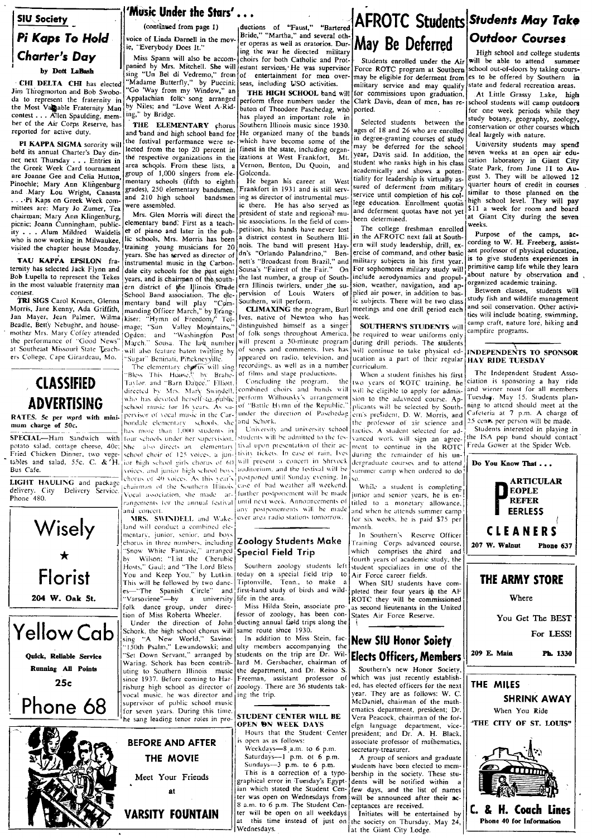## **SIU Society** Pi Kaps To Hold Charter's Dav by Dott LaBash

CHI DELTA CHI has elected Jim Throgmorton and Bob Swoboda to represent the fraternity in the Most Valpable Fraternity Man contest . . . Allen Spaulding, member of the Air Corps Reserve, has reported for active duty.

PI KAPPA SIGMA sorority will hotd its annual Charter's Day dinner next Thursday . . . Entries in the Greek Week Card tournament are Joanne Gee and Celia Hutton, Pinochle; Mary Ann Klingenburg and Mary Lou Wright, Canasta ... Pi Kaps on Greek Week committees are: Mary Jo Zumer, Tea chairman; Mary Ann Klingenburg, picnic; Joann Cunningham, public-<br>ity . . . Alum Mildred Waidelis who is now working in Milwaukee, visited the chapter house Monday.

TAU KAPPA EPSILON fraternity has selected Jack Flynn and Bob Lupella to represent the Tekes in the most valuable fraternity man contest.

TRI SIGS Carol Krusen, Glenna Morris, Jane Kenny, Ada Griffith,<br>Jan Mayer, Jean Palmer, Wilma Beadle, Betty Nebughr, and housemother Mrs. Mary Coffey attended the performance of "Good News" at Southeast Missouri State Teachers College, Cape Girardeau, Mo.

## **CLASSIFIED ADVERTISING**

RATES. 5c per word with minimum charge of 50c.

SPECIAL-Ham Sandwich with potato salad, cottage cheese, 40c; Fried Chicken Dinner, two vegetables and salad, 55c. C. & 'H. Bus Cafe.

LIGHT HAULING and package delivery. City Delivery Service. Phone 480.

Wisely

Florist

204 W. Oak St.

**Yellow Cab** 

Quick, Reliable Service

Running All Points

 $25c$ 

Phone 68

has more than 1,000 students in four schools under her supervision. She also directs an elementary<br>school choir of 125 voices, a jun-

chairman of the Southern Illinois

and concert. MRS. SWINDELL and Wakeland will conduct a combined elementary, junior, senior, and boys chorus in three numbers, including "Snow White Fantasie," arranged<br>by Wilson; "List the Cherubic Hosts," Gaul; and "The Lord Bless<br>You and Keep You," by Lutkin. This will be followed by two dances-"The Spanish Circle" and 'Varsoviene''-by a university folk dance group, under direc-

Under the direction of John Schork, the high school chorus will sing "A New World," Savino:<br>"150th Psalm," Lewandowski; and  $\sin g$ "Set Down Servant," arranged by Waring. Schork has been contributing to Southern Illinois music since 1937. Before coming to Harrisburg high school as director of vocal music, he was director and supervisor of public school music<br>for seven years. During this time, he sang leading tenor roles in pro-



(continued from page 1) voice of Linda Darnell in the movie, "Everybody Does It."

Miss Spann will also be accompanied by Mrs. Mitchell. She will sing "Un Bel di Vedremo," from 'Madame Butterfly," by Puccini; "Go 'Way from my Window," an Appalachian folk song arranged by Niles; and "Love Went A-Riding," by Bridge.

and band and high school band for the festival performance were selected from the top 20 percent in the respective organizations in the area schools. From these lists, a group of 1,000 singers from elementary schools (fifth to eighth<br>grades), 250 elementary bandsmen, were assembled.

Mrs. Glen Morris will direct the elementary band. First as a teachet of piano and later in the public schools. Mrs. Morris has been training young musicians for 20<br>years. She has served as director of instrumental music in the Carbondale city schools for the past eight years, and is chairman of the southern district of the Illinois Grade School Band association. The elementary band will play "Com-<br>manding Officer March," by Erang-"Comkiser; "Hymn of Freedom/ Tolmage; "Sun Valley Mountains," Ogden; and "Washington Post<br>March." Sousa. The last number will also feature baton twilling by "Sugar" Beninati, Pincknevville.

directed by Mrs. Mary Swindell, ior high school girls chorus of 60,

tion of Miss Roberta Wheeler.

auctions of "Faust," "Bartered<br>Bride," "Martha," and several other operas as well as oratorios. During the war he directed military choirs for both Catholic and Protestant services,' He was supervisor

of entertainment for men over-

THE ELEMENTARY chorus

The elementary chorus will sing<br>
"Bless This House." by Brahe-<br>
Taylor, and "Barn Dapce." Elliott. school music for 16 years. As supervisor of vocal music in the Carbondale elementary schools, she chorus of 40 voices. As this vear's rangements for the annual festival

seas, including USO activities. THE HIGH SCHOOL band will perform three numbers under the .<br>baton of Theodore Paschedag, who has played an important role

in Southern Illinois music since 1930. He organized many of the bands which have become some of the finest in the state, including organizations at West Frankfort, -<br>Mt Vernon, Benton, Du Quoin, and Golconda.

He began his career at West Frankfort in 1931 and is still servand 210 high school bandsmen ing as director of instrumental music there. He has also served as president of state and regional music associations. In the field of competition, his bands have never lost a district contest in Southern Illinois. The band will present Hay dn's "Orlando Palandrino," Ben-<br>nett's "Broadcast from Brazil," and Sousa's "Fairest of the Fair." On the last number, a group of Southern Illinois twirlers, under the supervision of Louis Waters of Southern, will perform.

CLIMAXING the program, Burl Ives, native of Newton who has distinguished himself as a singer of folk songs throughout America, will present a 30-minute program<br>of songs and comments. Ives has appeared on radio, television, and recordings, as well as in a number of films and stage productions.

Concluding the program, the<br>combined choirs and bands will who has devoted herself to public perform Wilhousky's arrangement of "Battle Hymn of the Republic." under the direction of Paschedag and Schork,

University and university school students will be admitted to the festival upon presentation of their activity tickets. In case of rain, Ives will present a concert in Shrvock voices, and junior high school boxs auditorium, and the festival will be postponed until Sunday evening. In case of bad weather all weekend. Vocal association, she made ar- further postponement will be made until next week. Announcements of any postponements will be made over area radio stations tomorrow.

### Zoology Students Make Special Field Trip

Southern zoology students left counter a special field trip to<br>today on a special field trip to<br>Tiptonville, Tenn., to make a first-hand study of birds and wildlife in the area.

Miss Hilda Stein, associate pro fessor of zoology, has been conducting annual field trips along the same route since 1930.

In addition to Miss Stein, faculty members accompanying the<br>students on the trip are Dr. Willard M. Gersbacher, chairman of the department, and Dr. Reino S. Freeman, assistant professor of<br>zoology. There are 36 students taking the trip.

### STUDENT CENTER WILL BE OPEN ON WEEK DAYS

Hours that the Student Center open as as follows:

Weekdays-8, a.m. to 6 p.m.<br>Saturdays-1 p.m. ot 6 p.m. Sundays  $-3$  p.m. to 6 p.m. This is a correction of a typographical error in Tuesday's Egyptian which stated the Student Center was open on Wednesdays from 8 a.m. to 6 p.m. The Student Center will be open on all weekdays at this time instead of just on the society on Thursday, May 24, Wednesdays.

## **AFROTC Students Students May Take Outdoor Courses** May Be Deferred

Students enrolled under the Air Force ROTC program at Southern may be eligible for deferment from military service and may qualify for commissions upon graduation, Clark Davis, dean of men, has reported.

Selected students between the ages of 18 and 26 who are enrolled in degree-granting courses of study may be deferred for the school year, Davis said. In addition, the student who ranks high in his class academically and shows a potentiality for leadership is virtually assured of deferment from military service until completion of his college education. Enrollment quotas and deferment quotas have not yet been determined.

The college freshman enrolled<br>in the AFROTC next fall at Southern will study leadership, drill, exercise of command, and other basic military subjects in his first year. For sophomores military study will include aerodynamics and propulsion, weather, navigation, and applied air power, in addition to basic subjects. There will be two class meetings and one drill period each week.

SOUTHERN'S STUDENTS will be required to wear uniforms only during drill periods. The students will continue to take physical education as a part of their regular HAY RIDE TUESDAY curriculum.

When a student finishes his first two years of ROTC training, he will be eligible to apply for admission to the adavneed course. Applicants will be selected by Southern's president, D. W. Morris, and the professor of air science and tactics. A student selected for advanced work will sign an agreement to continue in the ROTC during the remainder of his undergraduate courses and to attend summer camp when ordered to do so.

While a student is completing junior and senior years, he is entitled to a monetary allowance, and when he attends summer camp for six weeks, he is paid \$75 per month

In Southern's Reserve Officer Fraining Corps advanced course, which comprises the third and fourth years of academic study, the student specializes in one of the Air Force career fields.

When SIU students have completed their four years in the AF ROTC they will be commissioned as second lieutenants in the United States Air Force Reserve.

## **New SIU Honor Soiety Elects Officers, Members**

Southern's new Honor Society. which was just recently established, has elected officers for the next year. They are as follows: W. C. McDaniel, chairman of the mathematics department, president; Dr. Vera Peacock, chairman of the forefgn language department, vice-<br>president; and Dr. A. H. Black, associate professor of mathematics, secretary-treasurer.

A group of seniors and graduate students have been elected to membership in the society. These students will be notified within a few days, and the list of names will be announced after their acceptances are received.

Initiates will be entertained by lat the Giant City Lodge.

### High school and college students will be able to attend summer school out-of-doors by taking cours-

es to be offered by Southern in state and federal recreation areas. At Little Grassy Lake, high

school students will camp outdoors for one week periods while they study botany, geography, zoology, conservation or other courses which deal largely with nature.

University students may spend seven weeks at an open air education laboratory in Giant City State Park, from June 11 to August 3. They will be allowed 12 quarter hours of credit in courses similar to those planned on the high school level. They will pay \$11 a week for room and board at Giant City during the seven weeks.

Purpose of the camps, cording to W. H. Freeberg, assistant professor of physical education, is to give students experiences in primitive camp life while they learn about nature by observation and organized academic training.

students will Between classes. study fish and wildlife management and soil conservation. Other activities will include boating, swimming, camp craft, nature lore, hiking and campfire programs.

## INDEPENDENTS TO SPONSOR

The Independent Student Association is sponsoring a hay ride and wiener roast for all members Tuesday, May 15. Students planning to attend should meet at the Cafeteria at 7 p.m. A charge of 25 cents per person will be made.

Students interested in playing in the ISA pep band should contact<br>Freda Gower at the Spider Web.







'Music Under the Stars'...